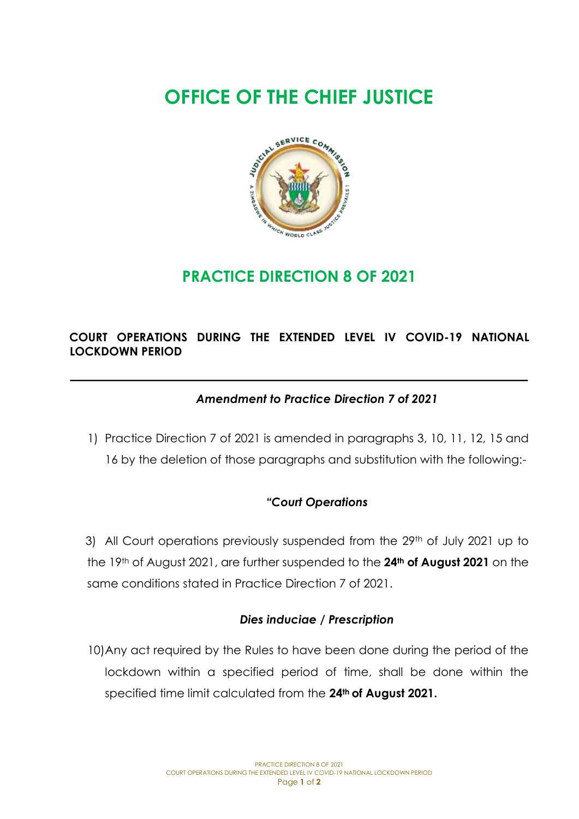# **OFFICE OF THE CHIEF JUSTICE**



# **PRACTICE DIRECTION 8 OF 2021**

# **COURT OPERATIONS DURING THE EXTENDED LEVEL IV COVID-19 NATIONAL LOCKDOWN PERIOD**

# *Amendment to Practice Direction 7 of 2021*

1) Practice Direction 7 of 2021 is amended in paragraphs 3, 10, 11, 12, 15 and 16 by the deletion of those paragraphs and substitution with the following:-

# *"Court Operations*

3) All Court operations previously suspended from the 29<sup>th</sup> of July 2021 up to the 19th of August 2021, are further suspended to the **24th of August 2021** on the same conditions stated in Practice Direction 7 of 2021.

#### *Dies induciae / Prescription*

10)Any act required by the Rules to have been done during the period of the lockdown within a specified period of time, shall be done within the specified time limit calculated from the **24th of August 2021.**